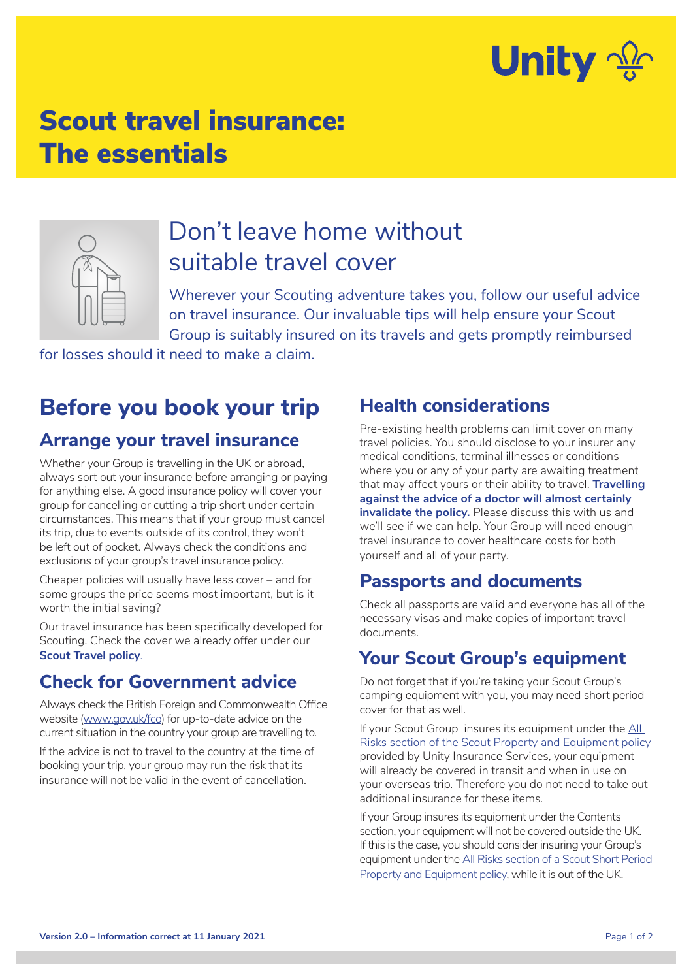

# Scout travel insurance: The essentials



# Don't leave home without suitable travel cover

Wherever your Scouting adventure takes you, follow our useful advice on travel insurance. Our invaluable tips will help ensure your Scout Group is suitably insured on its travels and gets promptly reimbursed

for losses should it need to make a claim.

# **Before you book your trip**

#### **Arrange your travel insurance**

Whether your Group is travelling in the UK or abroad, always sort out your insurance before arranging or paying for anything else. A good insurance policy will cover your group for cancelling or cutting a trip short under certain circumstances. This means that if your group must cancel its trip, due to events outside of its control, they won't be left out of pocket. Always check the conditions and exclusions of your group's travel insurance policy.

Cheaper policies will usually have less cover – and for some groups the price seems most important, but is it worth the initial saving?

Our travel insurance has been specifically developed for Scouting. Check the cover we already offer under our **[Scout Travel policy](https://www.unityinsuranceservices.co.uk/scout-insurance/travel)**.

#### **Check for Government advice**

Always check the British Foreign and Commonwealth Office website (www.gov.uk/fco) for up-to-date advice on the current situation in the country your group are travelling to.

If the advice is not to travel to the country at the time of booking your trip, your group may run the risk that its insurance will not be valid in the event of cancellation.

#### **Health considerations**

Pre-existing health problems can limit cover on many travel policies. You should disclose to your insurer any medical conditions, terminal illnesses or conditions where you or any of your party are awaiting treatment that may affect yours or their ability to travel. **Travelling against the advice of a doctor will almost certainly invalidate the policy.** Please discuss this with us and we'll see if we can help. Your Group will need enough travel insurance to cover healthcare costs for both yourself and all of your party.

#### **Passports and documents**

Check all passports are valid and everyone has all of the necessary visas and make copies of important travel documents.

#### **Your Scout Group's equipment**

Do not forget that if you're taking your Scout Group's camping equipment with you, you may need short period cover for that as well.

If your Scout Group insures its equipment under the [All](https://www.unityinsuranceservices.co.uk/scout-insurance/property-equipment-insurance)  [Risks section of the Scout Property and Equipment policy](https://www.unityinsuranceservices.co.uk/scout-insurance/property-equipment-insurance) provided by Unity Insurance Services, your equipment will already be covered in transit and when in use on your overseas trip. Therefore you do not need to take out additional insurance for these items.

If your Group insures its equipment under the Contents section, your equipment will not be covered outside the UK. If this is the case, you should consider insuring your Group's equipment under the [All Risks section of a Scout Short Period](https://www.unityinsuranceservices.co.uk/scout-insurance/property-equipment-insurance)  [Property and Equipment policy](https://www.unityinsuranceservices.co.uk/scout-insurance/property-equipment-insurance), while it is out of the UK.